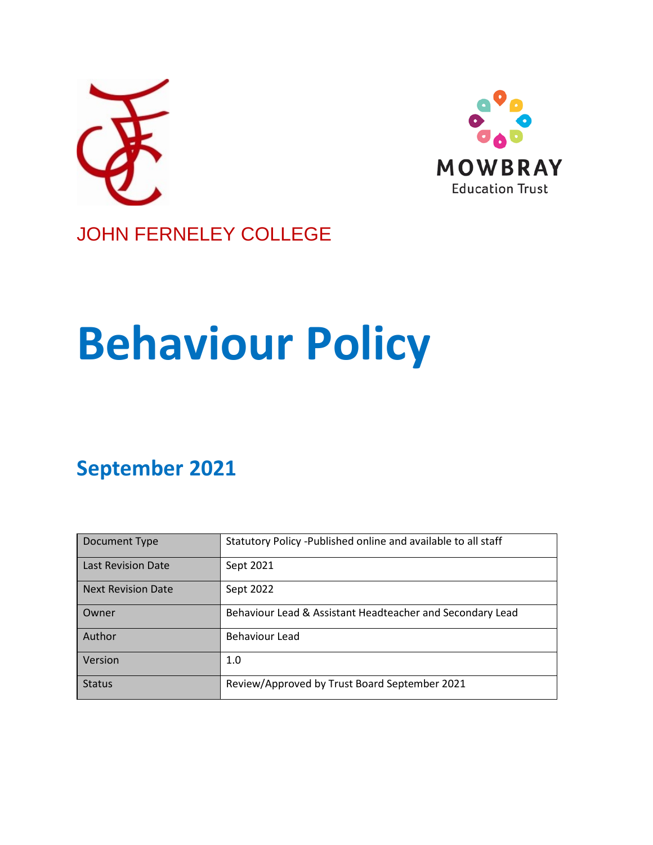



# JOHN FERNELEY COLLEGE

# **Behaviour Policy**

# **September 2021**

| Document Type             | Statutory Policy - Published online and available to all staff |
|---------------------------|----------------------------------------------------------------|
| <b>Last Revision Date</b> | Sept 2021                                                      |
| <b>Next Revision Date</b> | Sept 2022                                                      |
| Owner                     | Behaviour Lead & Assistant Headteacher and Secondary Lead      |
| Author                    | Behaviour Lead                                                 |
| Version                   | 1.0                                                            |
| <b>Status</b>             | Review/Approved by Trust Board September 2021                  |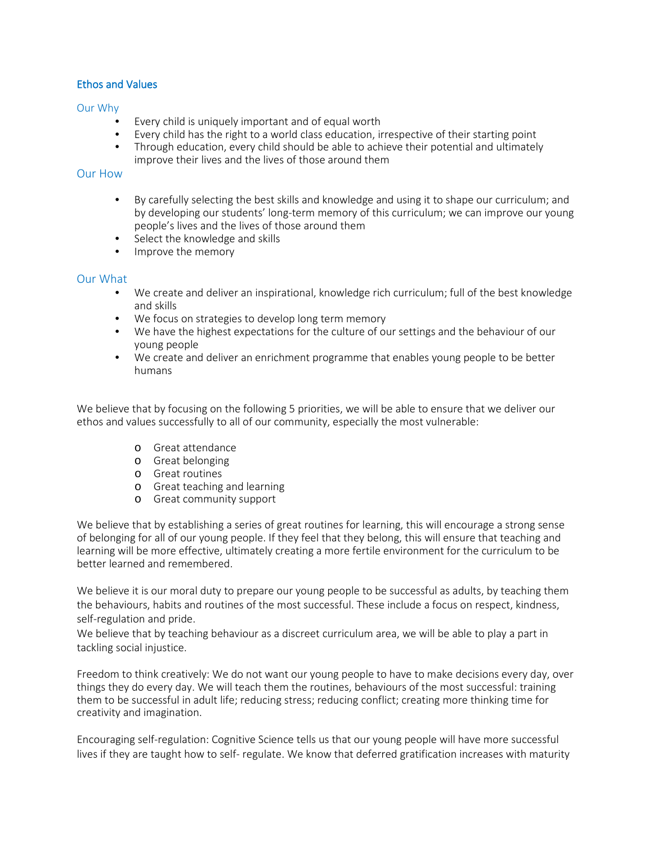# Ethos and Values

#### Our Why

- Every child is uniquely important and of equal worth
- Every child has the right to a world class education, irrespective of their starting point
- Through education, every child should be able to achieve their potential and ultimately improve their lives and the lives of those around them

# Our How

- By carefully selecting the best skills and knowledge and using it to shape our curriculum; and by developing our students' long-term memory of this curriculum; we can improve our young people's lives and the lives of those around them
- Select the knowledge and skills
- Improve the memory

# Our What

- We create and deliver an inspirational, knowledge rich curriculum; full of the best knowledge and skills
- We focus on strategies to develop long term memory
- We have the highest expectations for the culture of our settings and the behaviour of our young people
- We create and deliver an enrichment programme that enables young people to be better humans

We believe that by focusing on the following 5 priorities, we will be able to ensure that we deliver our ethos and values successfully to all of our community, especially the most vulnerable:

- o Great attendance
- o Great belonging
- o Great routines
- o Great teaching and learning
- o Great community support

We believe that by establishing a series of great routines for learning, this will encourage a strong sense of belonging for all of our young people. If they feel that they belong, this will ensure that teaching and learning will be more effective, ultimately creating a more fertile environment for the curriculum to be better learned and remembered.

We believe it is our moral duty to prepare our young people to be successful as adults, by teaching them the behaviours, habits and routines of the most successful. These include a focus on respect, kindness, self-regulation and pride.

We believe that by teaching behaviour as a discreet curriculum area, we will be able to play a part in tackling social injustice.

Freedom to think creatively: We do not want our young people to have to make decisions every day, over things they do every day. We will teach them the routines, behaviours of the most successful: training them to be successful in adult life; reducing stress; reducing conflict; creating more thinking time for creativity and imagination.

Encouraging self-regulation: Cognitive Science tells us that our young people will have more successful lives if they are taught how to self- regulate. We know that deferred gratification increases with maturity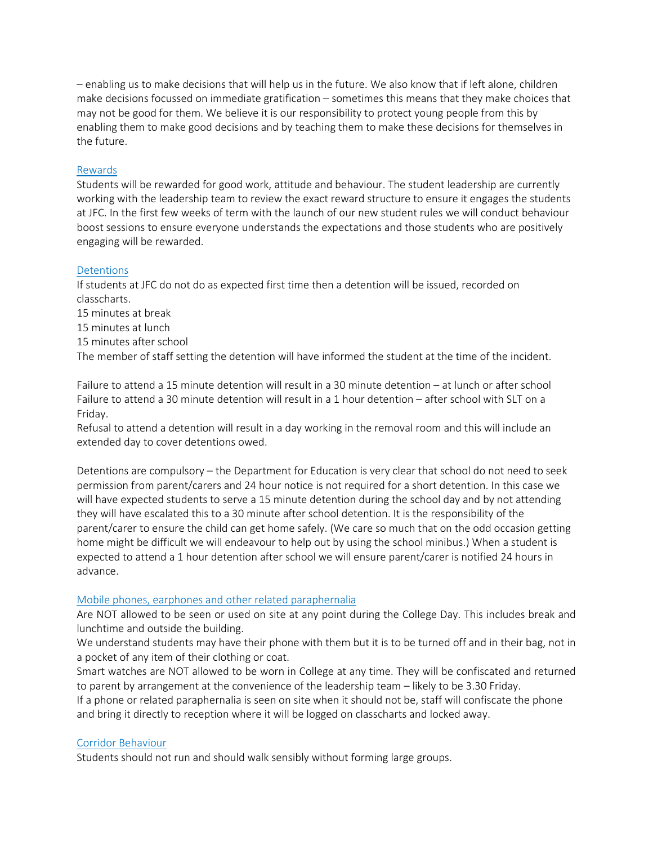– enabling us to make decisions that will help us in the future. We also know that if left alone, children make decisions focussed on immediate gratification – sometimes this means that they make choices that may not be good for them. We believe it is our responsibility to protect young people from this by enabling them to make good decisions and by teaching them to make these decisions for themselves in the future.

### Rewards

Students will be rewarded for good work, attitude and behaviour. The student leadership are currently working with the leadership team to review the exact reward structure to ensure it engages the students at JFC. In the first few weeks of term with the launch of our new student rules we will conduct behaviour boost sessions to ensure everyone understands the expectations and those students who are positively engaging will be rewarded.

#### **Detentions**

If students at JFC do not do as expected first time then a detention will be issued, recorded on classcharts.

- 15 minutes at break
- 15 minutes at lunch
- 15 minutes after school

The member of staff setting the detention will have informed the student at the time of the incident.

Failure to attend a 15 minute detention will result in a 30 minute detention – at lunch or after school Failure to attend a 30 minute detention will result in a 1 hour detention – after school with SLT on a Friday.

Refusal to attend a detention will result in a day working in the removal room and this will include an extended day to cover detentions owed.

Detentions are compulsory – the Department for Education is very clear that school do not need to seek permission from parent/carers and 24 hour notice is not required for a short detention. In this case we will have expected students to serve a 15 minute detention during the school day and by not attending they will have escalated this to a 30 minute after school detention. It is the responsibility of the parent/carer to ensure the child can get home safely. (We care so much that on the odd occasion getting home might be difficult we will endeavour to help out by using the school minibus.) When a student is expected to attend a 1 hour detention after school we will ensure parent/carer is notified 24 hours in advance.

#### Mobile phones, earphones and other related paraphernalia

Are NOT allowed to be seen or used on site at any point during the College Day. This includes break and lunchtime and outside the building.

We understand students may have their phone with them but it is to be turned off and in their bag, not in a pocket of any item of their clothing or coat.

Smart watches are NOT allowed to be worn in College at any time. They will be confiscated and returned to parent by arrangement at the convenience of the leadership team – likely to be 3.30 Friday.

If a phone or related paraphernalia is seen on site when it should not be, staff will confiscate the phone and bring it directly to reception where it will be logged on classcharts and locked away.

# Corridor Behaviour

Students should not run and should walk sensibly without forming large groups.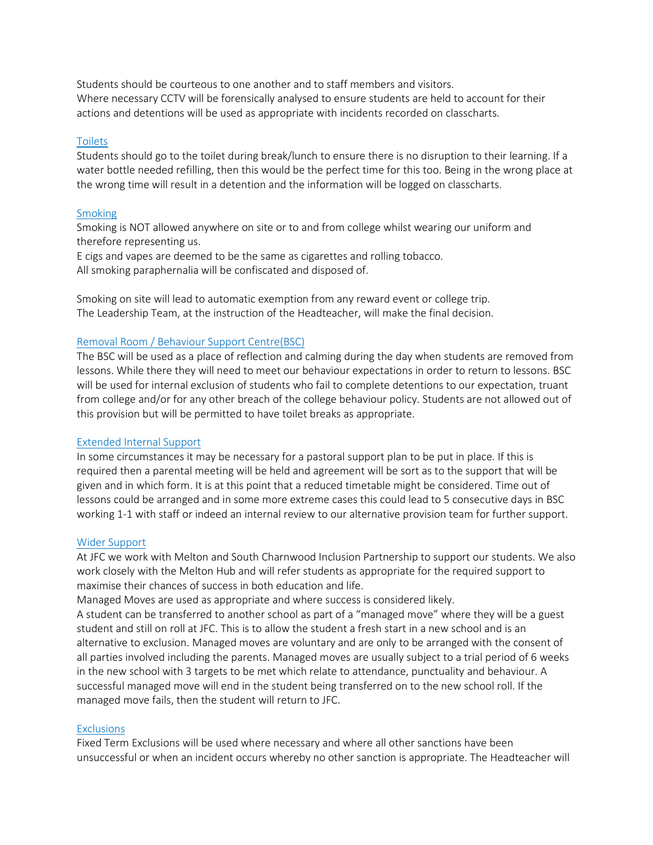Students should be courteous to one another and to staff members and visitors. Where necessary CCTV will be forensically analysed to ensure students are held to account for their actions and detentions will be used as appropriate with incidents recorded on classcharts.

#### Toilets

Students should go to the toilet during break/lunch to ensure there is no disruption to their learning. If a water bottle needed refilling, then this would be the perfect time for this too. Being in the wrong place at the wrong time will result in a detention and the information will be logged on classcharts.

#### Smoking

Smoking is NOT allowed anywhere on site or to and from college whilst wearing our uniform and therefore representing us.

E cigs and vapes are deemed to be the same as cigarettes and rolling tobacco. All smoking paraphernalia will be confiscated and disposed of.

Smoking on site will lead to automatic exemption from any reward event or college trip. The Leadership Team, at the instruction of the Headteacher, will make the final decision.

# Removal Room / Behaviour Support Centre(BSC)

The BSC will be used as a place of reflection and calming during the day when students are removed from lessons. While there they will need to meet our behaviour expectations in order to return to lessons. BSC will be used for internal exclusion of students who fail to complete detentions to our expectation, truant from college and/or for any other breach of the college behaviour policy. Students are not allowed out of this provision but will be permitted to have toilet breaks as appropriate.

#### Extended Internal Support

In some circumstances it may be necessary for a pastoral support plan to be put in place. If this is required then a parental meeting will be held and agreement will be sort as to the support that will be given and in which form. It is at this point that a reduced timetable might be considered. Time out of lessons could be arranged and in some more extreme cases this could lead to 5 consecutive days in BSC working 1-1 with staff or indeed an internal review to our alternative provision team for further support.

#### Wider Support

At JFC we work with Melton and South Charnwood Inclusion Partnership to support our students. We also work closely with the Melton Hub and will refer students as appropriate for the required support to maximise their chances of success in both education and life.

Managed Moves are used as appropriate and where success is considered likely.

A student can be transferred to another school as part of a "managed move" where they will be a guest student and still on roll at JFC. This is to allow the student a fresh start in a new school and is an alternative to exclusion. Managed moves are voluntary and are only to be arranged with the consent of all parties involved including the parents. Managed moves are usually subject to a trial period of 6 weeks in the new school with 3 targets to be met which relate to attendance, punctuality and behaviour. A successful managed move will end in the student being transferred on to the new school roll. If the managed move fails, then the student will return to JFC.

#### **Exclusions**

Fixed Term Exclusions will be used where necessary and where all other sanctions have been unsuccessful or when an incident occurs whereby no other sanction is appropriate. The Headteacher will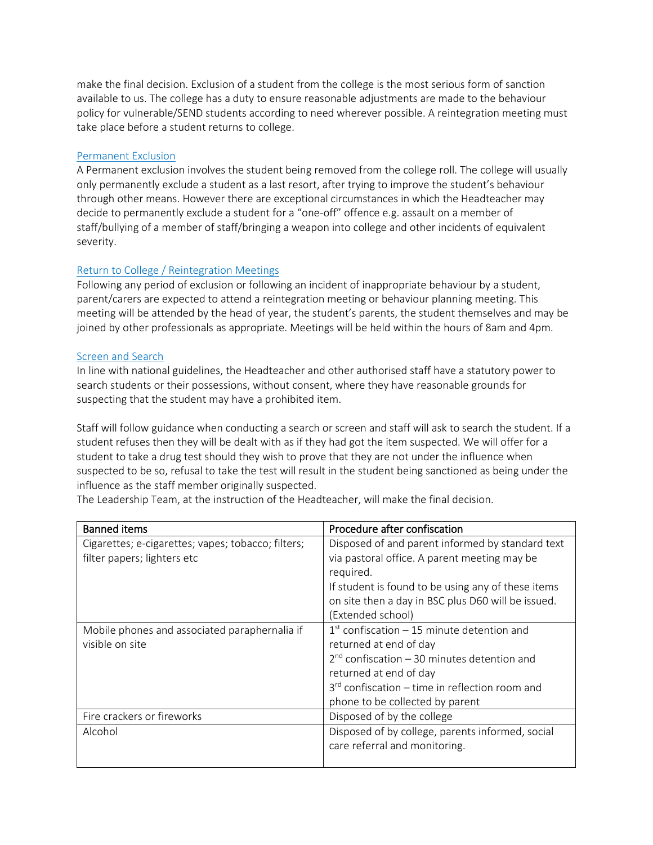make the final decision. Exclusion of a student from the college is the most serious form of sanction available to us. The college has a duty to ensure reasonable adjustments are made to the behaviour policy for vulnerable/SEND students according to need wherever possible. A reintegration meeting must take place before a student returns to college.

# Permanent Exclusion

A Permanent exclusion involves the student being removed from the college roll. The college will usually only permanently exclude a student as a last resort, after trying to improve the student's behaviour through other means. However there are exceptional circumstances in which the Headteacher may decide to permanently exclude a student for a "one-off" offence e.g. assault on a member of staff/bullying of a member of staff/bringing a weapon into college and other incidents of equivalent severity.

# Return to College / Reintegration Meetings

Following any period of exclusion or following an incident of inappropriate behaviour by a student, parent/carers are expected to attend a reintegration meeting or behaviour planning meeting. This meeting will be attended by the head of year, the student's parents, the student themselves and may be joined by other professionals as appropriate. Meetings will be held within the hours of 8am and 4pm.

# Screen and Search

In line with national guidelines, the Headteacher and other authorised staff have a statutory power to search students or their possessions, without consent, where they have reasonable grounds for suspecting that the student may have a prohibited item.

Staff will follow guidance when conducting a search or screen and staff will ask to search the student. If a student refuses then they will be dealt with as if they had got the item suspected. We will offer for a student to take a drug test should they wish to prove that they are not under the influence when suspected to be so, refusal to take the test will result in the student being sanctioned as being under the influence as the staff member originally suspected.

The Leadership Team, at the instruction of the Headteacher, will make the final decision.

| <b>Banned items</b>                                | Procedure after confiscation                       |
|----------------------------------------------------|----------------------------------------------------|
| Cigarettes; e-cigarettes; vapes; tobacco; filters; | Disposed of and parent informed by standard text   |
| filter papers; lighters etc                        | via pastoral office. A parent meeting may be       |
|                                                    | required.                                          |
|                                                    | If student is found to be using any of these items |
|                                                    | on site then a day in BSC plus D60 will be issued. |
|                                                    | (Extended school)                                  |
| Mobile phones and associated paraphernalia if      | $1st$ confiscation – 15 minute detention and       |
| visible on site                                    | returned at end of day                             |
|                                                    | $2nd$ confiscation – 30 minutes detention and      |
|                                                    | returned at end of day                             |
|                                                    | $3rd$ confiscation – time in reflection room and   |
|                                                    | phone to be collected by parent                    |
| Fire crackers or fireworks                         | Disposed of by the college                         |
| Alcohol                                            | Disposed of by college, parents informed, social   |
|                                                    | care referral and monitoring.                      |
|                                                    |                                                    |